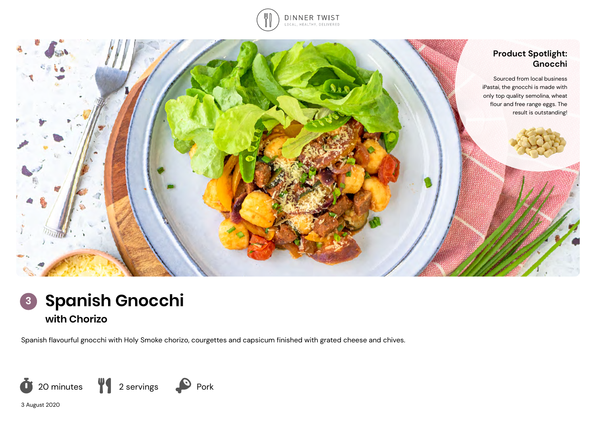





Spanish flavourful gnocchi with Holy Smoke chorizo, courgettes and capsicum finished with grated cheese and chives.



3 August 2020